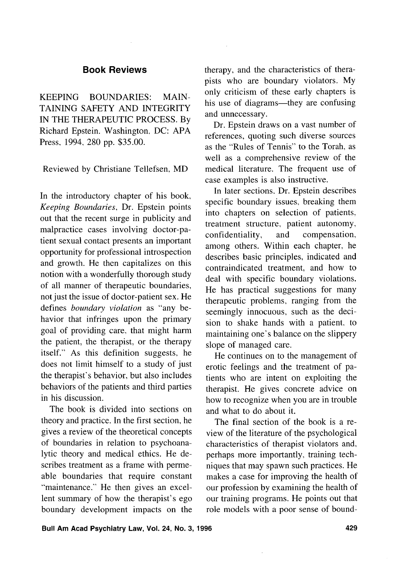# **Book Reviews**

KEEPING BOUNDARIES: MAIN-TAINING SAFETY AND INTEGRITY IN THE THERAPEUTIC PROCESS. By Richard Epstein. Washington, DC: APA Press, 1994, 280 pp. \$35.00.

Reviewed by Christiane Tellefsen, MD

In the introductory chapter of his book, *Keeping Boundaries,* Dr. Epstein points out that the recent surge in publicity and malpractice cases involving doctor-patient sexual contact presents an important opportunity for professional introspection and growth. He then capitalizes on this notion with a wonderfully thorough study of all manner of therapeutic boundaries, not just the issue of doctor-patient sex. He defines *boundary violation* as "any behavior that infringes upon the primary goal of providing care. that might harm the patient, the therapist, or the therapy itself." As this definition suggests, he does not limit himself to a study of just the therapist's behavior, but also includes behaviors of the patients and third parties in his discussion.

The book is divided into sections on theory and practice. In the first section, he gives a review of the theoretical concepts of boundaries in relation to psychoanalytic theory and medical ethics. He describes treatment as a frame with permeable boundaries that require constant "maintenance." He then gives an excellent summary of how the therapist's ego boundary development impacts on the

therapy, and the characteristics of therapists who are boundary violators. My only criticism of these early chapters is his use of diagrams—they are confusing and unnecessary.

Dr. Epstein draws on a vast number of references, quoting such diverse sources as the "Rules of Tennis" to the Torah. as well as a comprehensive review of the medical literature. The frequent use of case examples is also instructive.

In later sections. Dr. Epstein describes specific boundary issues, breaking them into chapters on selection of patients. treatment structure, patient autonomy, confidentiality, and compensation, among others. Within each chapter, he describes basic principles, indicated and contraindicated treatment, and how to deal with specific boundary violations. He has practical suggestions for many therapeutic problems, ranging from the seemingly innocuous, such as the decision to shake hands with a patient. to maintaining one's balance on the slippery slope of managed care.

He continues on to the management of erotic feelings and the treatment of patients who are intent on exploiting the therapist. He gives concrete advice on how to recognize when you are in trouble and what to do about it.

The final section of the book is a review of the literature of the psychological characteristics of therapist violators and. perhaps more importantly, training techniques that may spawn such practices. He makes a case for improving the health of our profession by examining the health of our training programs. He points out that role models with a poor sense of bound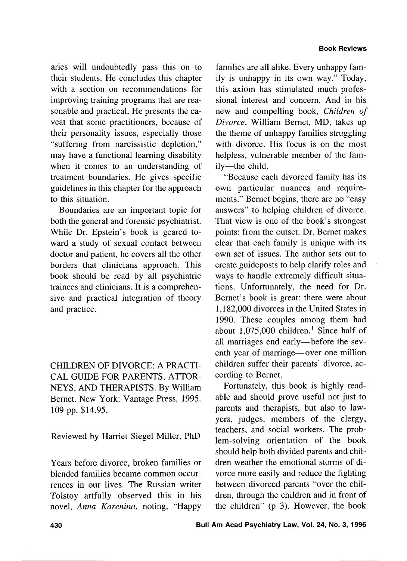aries will undoubtedly pass this on to their students. He concludes this chapter with a section on recommendations for improving training programs that are reasonable and practical. He presents the caveat that some practitioners, because of their personality issues, especially those "suffering from narcissistic depletion," may have a functional learning disability when it comes to an understanding of treatment boundaries. He gives specific guidelines in this chapter for the approach to this situation.

Boundaries are an important topic for both the general and forensic psychiatrist. While Dr. Epstein's book is geared toward a study of sexual contact between doctor and patient, he covers all the other borders that clinicians approach. This book should be read by all psychiatric trainees and clinicians. It is a comprehensive and practical integration of theory and practice.

CHILDREN OF DIVORCE: A PRACTI-CAL GUIDE FOR PARENTS, ATTOR-NEYS, AND THERAPISTS. By William Bernet. New York: Vantage Press, 1995. 109 pp. \$14.95.

Reviewed by Harriet Siege1 Miller, PhD

Years before divorce, broken families or blended families became common occurrences in our lives. The Russian writer Tolstoy artfully observed this in his novel, *Anna Karenina,* noting, "Happy

families are all alike. Every unhappy family is unhappy in its own way." Today, this axiom has stimulated much professional interest and concern. And in his new and compelling book, *Children of Divorce,* William Bernet, MD, takes up the theme of unhappy families struggling with divorce. His focus is on the most helpless, vulnerable member of the family-the child.

"Because each divorced family has its own particular nuances and requirements," Bernet begins, there are no "easy answers" to helping children of divorce. That view is one of the book's strongest points: from the outset, Dr. Bernet makes clear that each family is unique with its own set of issues. The author sets out to create guideposts to help clarify roles and ways to handle extremely difficult situations. Unfortunately, the need for Dr. Bernet's book is great; there were about 1,182,000 divorces in the United States in 1990. These couples among them had about 1,075,000 children.' Since half of all marriages end early-before the seventh year of marriage—over one million children suffer their parents' divorce, according to Bernet.

Fortunately, this book is highly readable and should prove useful not just to parents and therapists, but also to lawyers, judges, members of the clergy, teachers, and social workers. The problem-solving orientation of the book should help both divided parents and children weather the emotional storms of divorce more easily and reduce the fighting between divorced parents "over the children, through the children and in front of the children" (p 3). However, the book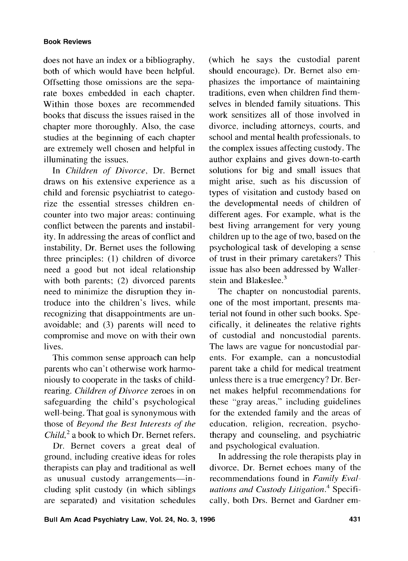## **Book Reviews**

does not have an index or a bibliography, both of which would have been helpful. Offsetting those omissions are the separate boxes embedded in each chapter. Within those boxes are recommended books that discuss the issues raised in the chapter more thoroughly. Also, the case studies at the beginning of each chapter are extremely well chosen and helpful in illuminating the issues.

In *Children* of *Divorce,* Dr. Bernet draws on his extensive experience as a child and forensic psychiatrist to categorize the essential stresses children encounter into two major areas: continuing conflict between the parents and instability. In addressing the areas of conflict and instability, Dr. Bernet uses the following three principles: (I) children of divorce need a good but not ideal relationship with both parents; (2) divorced parents need to minimize the disruption they introduce into the children's lives, while recognizing that disappointments are unavoidable: and (3) parents will need to compromise and move on with their own lives.

This common sense approach can help parents who can't otherwise work harmoniously to cooperate in the tasks of childrearing. *Children of Divorce* zeroes in on safeguarding the child's psychological well-being. That goal is synonymous with those of *Beyond the Best Interests of the Child*,<sup>2</sup> a book to which Dr. Bernet refers.

Dr. Bernet covers a great deal of ground, including creative ideas for roles therapists can play and traditional as well as unusual custody arrangements-including split custody (in which siblings are separated) and visitation schedules

(which he says the custodial parent should encourage). Dr. Bernet also emphasizes the importance of maintaining traditions, even when children find themselves in blended family situations. This work sensitizes all of those involved in divorce, including attorneys, courts, and school and mental health professionals, to the complex issues affecting custody. The author explains and gives down-to-earth solutions for big and small issues that might arise, such as his discussion of types of visitation and custody based on the developmental needs of children of different ages. For example, what is the best living arrangement for very young children up to the age of two, based on the psychological task of developing a sense of trust in their primary caretakers? This issue has also been addressed by Wallerstein and  $Blackeslee.<sup>3</sup>$ 

The chapter on noncustodial parents, one of the most important, presents material not found in other such books. Specifically, it delineates the relative rights of custodial and noncustodial parents. The laws are vague for noncustodial parents. For example, can a noncustodial parent take a child for medical treatment unless there is a true emergency? Dr. Bernet makes helpful recommendations for these "gray areas," including guidelines for the extended family and the areas of education, religion, recreation. psychotherapy and counseling, and psychiatric and psychological evaluation.

In addressing the role therapists play in divorce, Dr. Bernet echoes many of the recommendations found in *Family Evaluations and Custody Litigation.<sup>4</sup> Specifi*cally, both Drs. Bernet and Gardner em-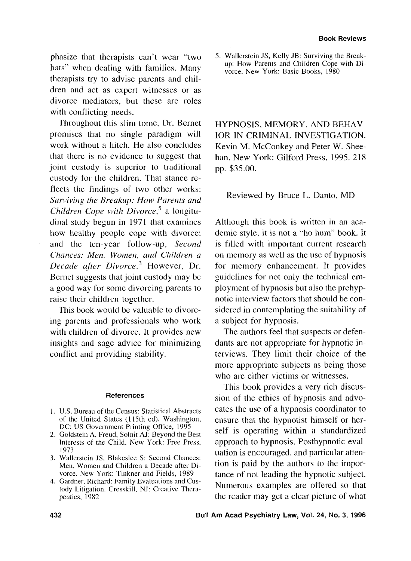phasize that therapists can't wear "two hats" when dealing with families. Many therapists try to advise parents and children and act as expert witnesses or as divorce mediators, but these are roles with conflicting needs.

Throughout this slim tome, Dr. Bernet promises that no single paradigm will work without a hitch. He also concludes that there is no evidence to suggest that joint custody is superior to traditional custody for the children. That stance reflects the findings of two other works: *Surviving the Breakup: How Parents and Children Cope with Divorce*,<sup>5</sup> a longitudinal study begun in 1971 that examines how healthy people cope with divorce; and the ten-year follow-up, *Second Clzances: Men, Wonzen, and Children a Decade after Divorce.*<sup>3</sup> However, Dr. Bernet suggests that joint custody may be a good way for some divorcing parents to raise their children together.

This book would be valuable to divorcing parents and professionals who work with children of divorce. It provides new insights and sage advice for minimizing conflict and providing stability.

#### **References**

- U.S. Bureau of the Census: Statistical Abstracts of the United States (1 15th ed). Washington, DC: US Government Printing Office, 1995
- Goldstein A, Freud, Solnit AJ: Beyond the Best Interests of the Child. New York: Free Press, 1973
- Wallerstein JS, Blakeslee S: Second Chances: Men, Women and Children a Decade after Divorce. New York: Tinkner and Fields, 1989
- Gardner, Richard: Family Evaluations and Custody Litigation. Cresskill, NJ: Creative Therapeutics, 1982

5. Wallerstein JS, Kelly JB: Surviving the Breakup: How Parents and Children Cope with Divorce. New York: Basic Books, 1980

HYPNOSIS, MEMORY, AND BEHAV-IOR IN CRIMINAL INVESTIGATION. Kevin M. McConkey and Peter W. Sheehan. New York: Gilford Press, 1995. 218 pp. \$35.00.

# Reviewed by Bruce L. Danto, MD

Although this book is written in an academic style, it is not a "ho hum" book. It is filled with important current research on memory as well as the use of hypnosis for memory enhancement. It provides guidelines for not only the technical employment of hypnosis but also the prehypnotic interview factors that should be considered in contemplating the suitability of a subject for hypnosis.

The authors feel that suspects or defendants are not appropriate for hypnotic interviews. They limit their choice of the more appropriate subjects as being those who are either victims or witnesses.

This book provides a very rich discussion of the ethics of hypnosis and advocates the use of a hypnosis coordinator to ensure that the hypnotist himself or herself is operating within a standardized approach to hypnosis. Posthypnotic evaluation is encouraged, and particular attention is paid by the authors to the importance of not leading the hypnotic subject. Numerous examples are offered so that the reader may get a clear picture of what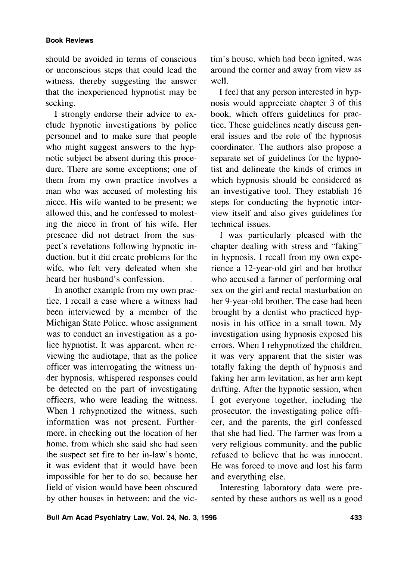## **Book Reviews**

should be avoided in terms of conscious or unconscious steps that could lead the witness, thereby suggesting the answer that the inexperienced hypnotist may be seeking.

I strongly endorse their advice to exclude hypnotic investigations by police personnel and to make sure that people who might suggest answers to the hypnotic subject be absent during this procedure. There are some exceptions; one of them from my own practice involves a man who was accused of molesting his niece. His wife wanted to be present; we allowed this, and he confessed to molesting the niece in front of his wife. Her presence did not detract from the suspect's revelations following hypnotic induction, but it did create problems for the wife, who felt very defeated when she heard her husband's confession.

In another example from my own practice, I recall a case where a witness had been interviewed by a member of the Michigan State Police, whose assignment was to conduct an investigation as a police hypnotist. It was apparent, when reviewing the audiotape, that as the police officer was interrogating the witness under hypnosis, whispered responses could be detected on the part of investigating officers, who were leading the witness. When I rehypnotized the witness, such information was not present. Furthermore, in checking out the location of her home, from which she said she had seen the suspect set fire to her in-law's home, it was evident that it would have been impossible for her to do so, because her field of vision would have been obscured by other houses in between; and the victim's house, which had been ignited, was around the corner and away from view as well.

I feel that any person interested in hypnosis would appreciate chapter 3 of this book, which offers guidelines for practice. These guidelines neatly discuss general issues and the role of the hypnosis coordinator. The authors also propose a separate set of guidelines for the hypnotist and delineate the kinds of crimes in which hypnosis should be considered as an investigative tool. They establish 16 steps for conducting the hypnotic interview itself and also gives guidelines for technical issues.

I was particularly pleased with the chapter dealing with stress and "faking" in hypnosis. I recall from my own experience a 12-year-old girl and her brother who accused a farmer of performing oral sex on the girl and rectal masturbation on her 9-year-old brother. The case had been brought by a dentist who practiced hypnosis in his office in a small town. My investigation using hypnosis exposed his errors. When I rehypnotized the children, it was very apparent that the sister was totally faking the depth of hypnosis and faking her arm levitation, as her arm kept drifting. After the hypnotic session, when 1, got everyone together, including the prosecutor, the investigating police officer, and the parents, the girl confessed that she had lied. The farmer was from a very religious community, and the public refused to believe that he was innocent. He was forced to move and lost his farm and everything else.

Interesting laboratory data were presented by these authors as well as a good

**Bull Am Acad Psychiatry Law, Vol. 24, No. 3, 1996 433**